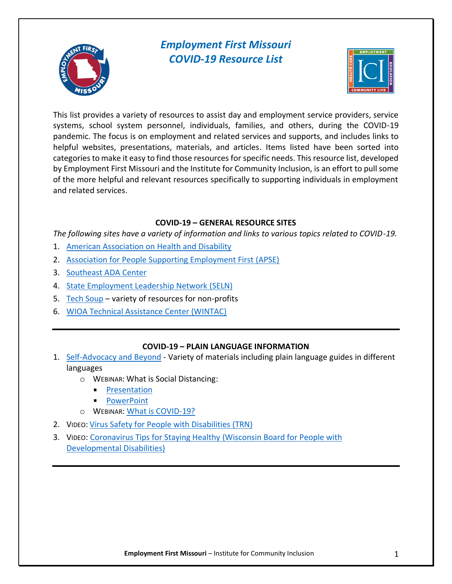

# *Employment First Missouri COVID-19 Resource List*



This list provides a variety of resources to assist day and employment service providers, service systems, school system personnel, individuals, families, and others, during the COVID-19 pandemic. The focus is on employment and related services and supports, and includes links to helpful websites, presentations, materials, and articles. Items listed have been sorted into categories to make it easy to find those resources for specific needs. This resource list, developed by Employment First Missouri and the Institute for Community Inclusion, is an effort to pull some of the more helpful and relevant resources specifically to supporting individuals in employment and related services.

## **COVID-19 – GENERAL RESOURCE SITES**

*The following sites have a variety of information and links to various topics related to COVID-19.*

- 1. [American Association on](https://www.aahd.us/covid-19/) Health and Disability
- 2. [Association for People Supporting Employment First \(APSE\)](https://apse.org/covid-19-apse-updates/)
- 3. [Southeast ADA Center](http://www.adasoutheast.org/coronavirus/#toclist)
- 4. [State Employment Leadership Network \(SELN\)](http://www.selnhub.org/COVID)
- 5. [Tech Soup](https://page.techsoup.org/covid-19-resources) variety of resources for non-profits
- 6. [WIOA Technical Assistance Center \(WINTAC\)](http://www.wintac.org/content/covid-19-resources)

## **COVID-19 – PLAIN LANGUAGE INFORMATION**

- 1. [Self-Advocacy and Beyond](https://selfadvocacyinfo.org/) Variety of materials including plain language guides in different languages
	- o WEBINAR: What is Social Distancing:
		- **[Presentation](https://zoom.us/rec/play/tcIvcLqopzg3G9XAuQSDUf94W43sf_isgHMZ8_sMmh6wB3gCYAWnYbtAYurfrOnbw1bUUErVyFll96yp?continueMode=true)**
		- **[PowerPoint](https://selfadvocacyinfo.org/wp-content/uploads/2020/03/March-19-Zoom-Meeting-for-Self-Advocates-on-Coronavirus.pdf)**
	- o WEBINAR: [What is COVID-19?](https://zoom.us/rec/play/vsIuf7iq-j03G4KVtQSDB6cqW9S9f_6s13dN__pcmk2yWiMAOlWnN-EbZOJzRWW3imNoVcA3H3_lnjQn?continueMode=true)
- 2. VIDEO: [Virus Safety for People with Disabilities \(TRN\)](https://disabilitywebtraining.com/virus-safety-pwd/)
- 3. VIDEO: [Coronavirus Tips for Staying Healthy](https://www.youtube.com/watch?v=V7Yl-BesvDw&feature=youtu.be) (Wisconsin Board for People with [Developmental Disabilities\)](https://www.youtube.com/watch?v=V7Yl-BesvDw&feature=youtu.be)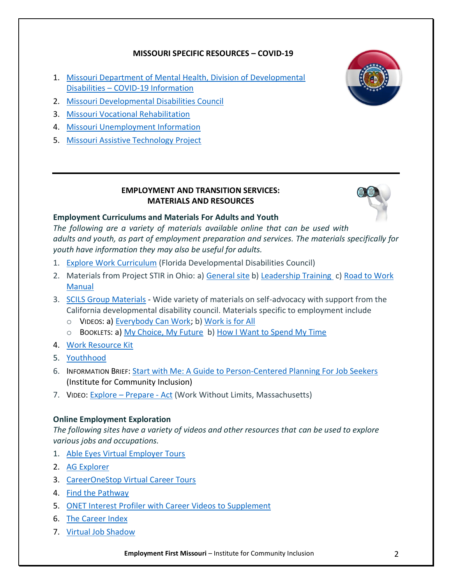### **MISSOURI SPECIFIC RESOURCES – COVID-19**

- 1. [Missouri Department of Mental Health, Division of Developmental](https://dmh.mo.gov/dev-disabilities/covid-19-information)  Disabilities – [COVID-19 Information](https://dmh.mo.gov/dev-disabilities/covid-19-information)
- 2. [Missouri Developmental Disabilities Council](https://moddcouncil.org/)
- 3. [Missouri Vocational Rehabilitation](https://dese.mo.gov/adult-learning-rehabilitation-services/vocational-rehabilitation)
- 4. [Missouri Unemployment Information](https://labor.mo.gov/unemployed-workers)
- 5. [Missouri Assistive Technology Project](https://at.mo.gov/)



#### **EMPLOYMENT AND TRANSITION SERVICES: MATERIALS AND RESOURCES**



### **Employment Curriculums and Materials For Adults and Youth**

*The following are a variety of materials available online that can be used with adults and youth, as part of employment preparation and services. The materials specifically for youth have information they may also be useful for adults.* 

- 1. [Explore Work Curriculum](https://www.employmentfirstfl.org/explore-work/) (Florida Developmental Disabilities Council)
- 2. Materials from Project STIR in Ohio: a) [General site](https://osdaohio.org/project-stir/) b) [Leadership Training](https://ohioemploymentfirst.org/view.php?nav_id=126) c) Road to Work [Manual](https://osdaohio.org/wp-content/uploads/2017/06/Road-to-Work-FINAL.pdf)
- 3. [SCILS Group](http://scilsgroup.org/resources/individuals/) Materials Wide variety of materials on self-advocacy with support from the California developmental disability council. Materials specific to employment include
	- o VIDEOS: a) [Everybody Can Work;](http://brcenter.org/lib/EverybodyWork.php) b[\) Work is for All](https://www.youtube.com/watch?v=N8namLnTQ2M&list=PLqDzY5Rmje_VkclS9XSQyY6gWgX6gWfxZ&index=2)
	- o BOOKLETS: a[\) My Choice, My Future](/Users/david.hoff/Dropbox/Covid%2019%20Information/My%20Choice,%20My%20Future) b[\) How I Want to Spend My Time](http://brcenter.org/lib/SpendTime.php)
- 4. [Work Resource Kit](https://www.workresourcekit.com/)
- 5. [Youthhood](http://www.youthhood.org/)
- 6. INFORMATION BRIEF: [Start with Me: A Guide to Person-Centered Planning For Job Seekers](https://www.communityinclusion.org/pdf/to14.pdf) (Institute for Community Inclusion)
- 7. VIDEO: Explore [Prepare -](http://www.exploreprepareact.org/) Act (Work Without Limits, Massachusetts)

### **Online Employment Exploration**

*The following sites have a variety of videos and other resources that can be used to explore various jobs and occupations.*

- 1. [Able Eyes Virtual Employer Tours](https://www.ableeyes.org/360-virtual-tours)
- 2. [AG Explorer](https://agexplorer.com/virtual-field-trip)
- 3. [CareerOneStop Virtual Career Tours](https://www.careeronestop.org/Videos/CareerVideos/career-videos.aspx)
- 4. [Find the Pathway](https://www.findthepathway.com/)
- 5. [ONET Interest Profiler with Career Videos to Supplement](http://www.vocfit.com/video-library.html)
- 6. [The Career Index](https://about.thecareerindex.com/)
- 7. [Virtual Job Shadow](https://www.virtualjobshadow.com/career-exploration/)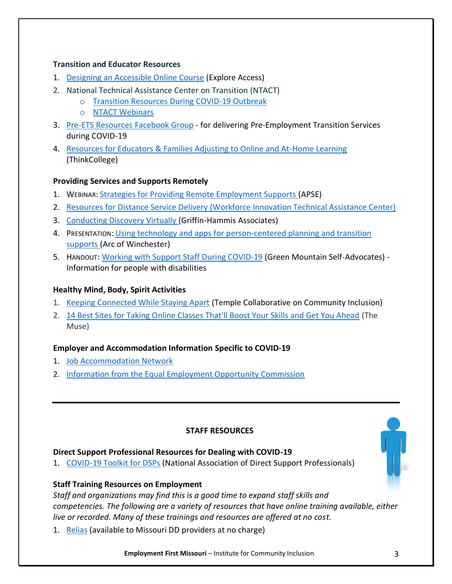#### **Transition and Educator Resources**

- 1. [Designing an Accessible Online Course](https://exploreaccess.org/accessible-online-course/) (Explore Access)
- 2. National Technical Assistance Center on Transition (NTACT)
	- o [Transition Resources During COVID-19 Outbreak](https://transitionta.org/covid19)
	- o [NTACT Webinars](https://www.transitionta.org/events-details)
- 3. [Pre-ETS Resources Facebook Group](https://www.facebook.com/groups/611914389398224/) for delivering Pre-Employment Transition Services during COVID-19
- 4. [Resources for Educators & Families Adjusting to Online and At-Home Learning](https://thinkcollege.net/think-college-news/resources-for-educators-families-adjusting-to-online-and-at-home-learning) (ThinkCollege)

### **Providing Services and Supports Remotely**

- 1. WEBINAR: [Strategies for Providing Remote Employment Supports \(](https://register.gotowebinar.com/recording/viewRecording/7514998554284736268/7728092704016527106/david.hoff@umb.edu?registrantKey=4066373736696567565&type=ATTENDEEEMAILRECORDINGLINK)APSE)
- 2. [Resources for Distance Service Delivery \(Workforce Innovation Technical Assistance Center\)](http://www.wintac.org/content/resources-distance-service-delivery)
- 3. [Conducting Discovery Virtually \(](https://www.griffinhammis.com/wp-content/uploads/2020/04/GHA-Virtual-CE-Discovery-Service-Delivery-Guidance.pdf)Griffin-Hammis Associates)
- 4. PRESENTATION: [Using technology and apps for person-centered planning and transition](http://www.colemaninstitute.org/wp-content/uploads/2017/02/ArcWestchester_Presentation.pdf)  [supports \(](http://www.colemaninstitute.org/wp-content/uploads/2017/02/ArcWestchester_Presentation.pdf)Arc of Winchester)
- 5. HANDOUT: [Working with Support Staff During COVID-19](https://selfadvocacyinfo.org/resource/plain-language-tips-for-working-with-support-staff-during-covid-19-march-30-2020/) (Green Mountain Self-Advocates) Information for people with disabilities

### **Healthy Mind, Body, Spirit Activities**

- 1. [Keeping Connected While Staying Apart](http://www.tucollaborative.org/keeping-connected-while-staying-apart/?fbclid=IwAR2BmZqC8URMQoKYWCSjSYTt6pkkfiAHP0u3Hhnv46ZUzh_H2SYpZojpur8) (Temple Collaborative on Community Inclusion)
- 2. [14 Best Sites for Taking Online Classes That'll Boost Your Skills and Get You Ahead](https://www.themuse.com/advice/14-best-sites-for-taking-online-classes-thatll-boost-your-skills-and-get-you-ahead) (The Muse)

### **Employer and Accommodation Information Specific to COVID-19**

- 1. [Job Accommodation Network](https://askjan.org/topics/COVID-19.cfm)
- 2. [Information from the Equal Employment Opportunity Commission](https://www.eeoc.gov/eeoc/newsroom/release/3-27-20a.cfm)

### **STAFF RESOURCES**

#### **Direct Support Professional Resources for Dealing with COVID-19**

1. [COVID-19 Toolkit for DSPs](https://nadsp.org/covid-19resources/) (National Association of Direct Support Professionals)

### **Staff Training Resources on Employment**

*Staff and organizations may find this is a good time to expand staff skills and competencies. The following are a variety of resources that have online training available, either live or recorded. Many of these trainings and resources are offered at no cost.*

1. [Relias](https://www.relias.com/) (available to Missouri DD providers at no charge)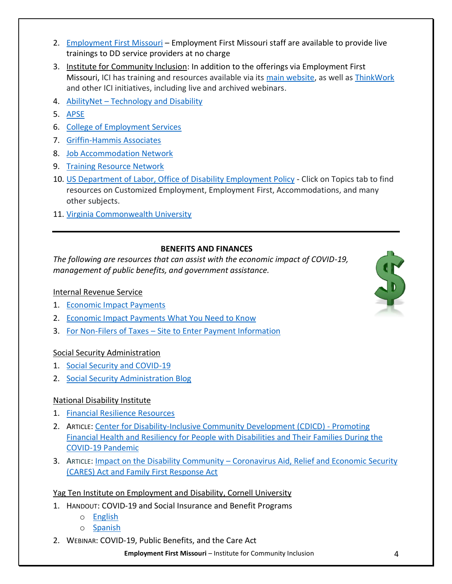- 2. [Employment First Missouri](https://employmentfirstmo.org/) Employment First Missouri staff are available to provide live trainings to DD service providers at no charge
- 3. Institute for Community Inclusion: In addition to the offerings via Employment First Missouri, ICI has training and resources available via its [main website,](https://www.communityinclusion.org/) as well as [ThinkWork](https://www.thinkwork.org/) and other ICI initiatives, including live and archived webinars.
- 4. AbilityNet [Technology and Disability](https://abilitynet.org.uk/news-blogs/abilitynet-live-free-events-about-technology-and-disability)
- 5. [APSE](https://apse.org/get-educated-online/online-learning/webinars/)
- 6. [College of Employment Services](https://www.directcourseonline.com/employment-services/)
- 7. [Griffin-Hammis Associates](https://www.griffinhammis.com/webinar-registration/)
- 8. [Job Accommodation Network](/Users/david.hoff/Dropbox/Covid%2019%20Information/•%09https:/askjan.org/events/Trainings.cfm)
- 9. [Training Resource Network](https://www.trn-store.com/)
- 10. [US Department of Labor, Office of Disability Employment Policy](https://www.dol.gov/odep) Click on Topics tab to find resources on Customized Employment, Employment First, Accommodations, and many other subjects.
- 11. [Virginia Commonwealth University](https://vcurrtc.org/training/courses.cfm)

## **BENEFITS AND FINANCES**

*The following are resources that can assist with the economic impact of COVID-19, management of public benefits, and government assistance.*

## Internal Revenue Service

- 1. [Economic Impact Payments](https://www.irs.gov/coronavirus/economic-impact-payments)
- 2. [Economic Impact Payments What You Need to Know](https://www.irs.gov/newsroom/economic-impact-payments-what-you-need-to-know)
- 3. For Non-Filers of Taxes [Site to Enter Payment Information](https://www.irs.gov/coronavirus/non-filers-enter-payment-info-here)

## Social Security Administration

- 1. [Social Security and COVID-19](https://www.ssa.gov/coronavirus/)
- 2. [Social Security Administration Blog](https://blog.ssa.gov/)

## National Disability Institute

- 1. [Financial Resilience Resources](https://www.nationaldisabilityinstitute.org/financial-resilience-center/resources/)
- 2. ARTICLE: [Center for Disability-Inclusive Community Development \(CDICD\) -](https://www.nationaldisabilityinstitute.org/wp-content/uploads/2020/03/financial-resiliency-tips.pdf) Promoting [Financial Health and Resiliency for People with Disabilities and Their Families During the](https://www.nationaldisabilityinstitute.org/wp-content/uploads/2020/03/financial-resiliency-tips.pdf)  [COVID-19 Pandemic](https://www.nationaldisabilityinstitute.org/wp-content/uploads/2020/03/financial-resiliency-tips.pdf)
- 3. ARTICLE: Impact on the Disability Community [Coronavirus Aid, Relief and Economic Security](https://www.nationaldisabilityinstitute.org/wp-content/uploads/2020/03/cares-act-and-the-disability-community.pdf)  [\(CARES\) Act and Family First Response Act](https://www.nationaldisabilityinstitute.org/wp-content/uploads/2020/03/cares-act-and-the-disability-community.pdf)

## Yag Ten Institute on Employment and Disability, Cornell University

- 1. HANDOUT: COVID-19 and Social Insurance and Benefit Programs
	- o [English](/Users/david.hoff/Dropbox/Covid%2019%20Information/o%09https:/www.yti.cornell.edu/images/COVID-19-Benefits.pdf)
	- o [Spanish](https://www.yti.cornell.edu/images/COVID-19-Beneficios.pdf)
- 2. WEBINAR: COVID-19, Public Benefits, and the Care Act

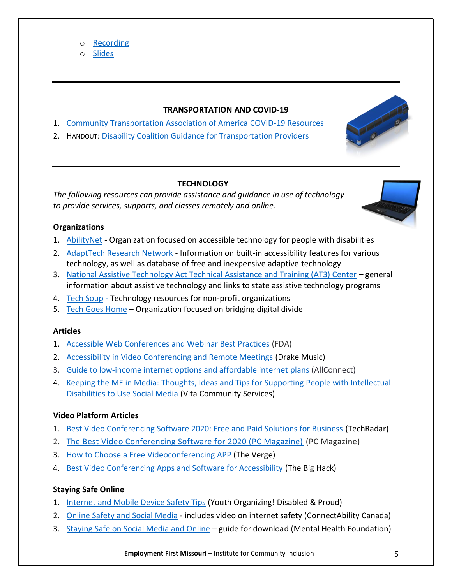o [Slides](http://wintac-s3.s3-us-west-2.amazonaws.com/files/covid-19/resources/COVID-19-and-Benefits-GWU.pdf)

### **TRANSPORTATION AND COVID-19**

- 1. [Community Transportation Association of America](https://ctaa.org/covid-19-resources/) COVID-19 Resources
- 2. HANDOUT: [Disability Coalition Guidance for Transportation Providers](https://files.constantcontact.com/0346d993101/66ee7011-1b9a-42f0-a6e0-84af88c91f02.pdf)

### **TECHNOLOGY**

*The following resources can provide assistance and guidance in use of technology to provide services, supports, and classes remotely and online.*

### **Organizations**

- 1. [AbilityNet](https://abilitynet.org.uk/) Organization focused on accessible technology for people with disabilities
- 2. [AdaptTech Research Network](https://adaptech.org/downloads/) Information on built-in accessibility features for various technology, as well as database of free and inexpensive adaptive technology
- 3. [National Assistive Technology Act Technical Assistance and Training \(AT3\) Center](https://www.at3center.net/) general information about assistive technology and links to state assistive technology programs
- 4. [Tech Soup](https://page.techsoup.org/covid-19-resources) Technology resources for non-profit organizations
- 5. [Tech Goes Home](https://www.techgoeshome.org/covid) Organization focused on bridging digital divide

### **Articles**

- 1. [Accessible Web Conferences and Webinar Best Practices](https://www.fda.gov/about-fda/internet-accessibility/accessible-web-conferences-and-webinar-best-practices) (FDA)
- 2. [Accessibility in Video Conferencing and Remote Meetings](https://www.drakemusic.org/blog/becky-morris-knight/accessibility-in-video-conferencing-and-remote-meetings/) (Drake Music)
- 3. [Guide to low-income internet options and affordable internet plans](https://www.allconnect.com/blog/low-income-internet-guide) (AllConnect)
- 4. [Keeping the ME in Media: Thoughts, Ideas and Tips for Supporting People with Intellectual](https://connectability.ca/Garage/wp-content/uploads/2010/09/Keeping-the-ME-in-Media-tips-social-media.pdf)  [Disabilities to Use Social Media](https://connectability.ca/Garage/wp-content/uploads/2010/09/Keeping-the-ME-in-Media-tips-social-media.pdf) (Vita Community Services)

## **Video Platform Articles**

- 1. [Best Video Conferencing Software 2020: Free and Paid Solutions for Business](https://www.techradar.com/best/best-video-conferencing-software) (TechRadar)
- 2. [The Best Video Conferencing Software for 2020 \(PC Magazine\)](https://www.pcmag.com/picks/the-best-video-conferencing-software) (PC Magazine)
- 3. [How to Choose a Free Videoconferencing APP](https://www.theverge.com/2020/3/25/21188571/free-videoconference-app-how-to-choose-zoom-skype-slack) (The Verge)
- 4. [Best Video Conferencing Apps and Software for Accessibility](https://bighack.org/best-videoconferencing-apps-and-software-for-accessibility/) (The Big Hack)

### **Staying Safe Online**

- 1. [Internet and Mobile Device Safety Tips](http://www.yodisabledproud.org/resources/safety-online.php) (Youth Organizing! Disabled & Proud)
- 2. [Online Safety and Social Media](https://connectability.ca/2018/04/25/safety-at-home-and-in-the-community/) includes video on internet safety (ConnectAbility Canada)
- 3. [Staying Safe on Social Media and Online](https://www.mentalhealth.org.uk/learning-disabilties/publications/staying-safe-social-media-and-online) guide for download (Mental Health Foundation)